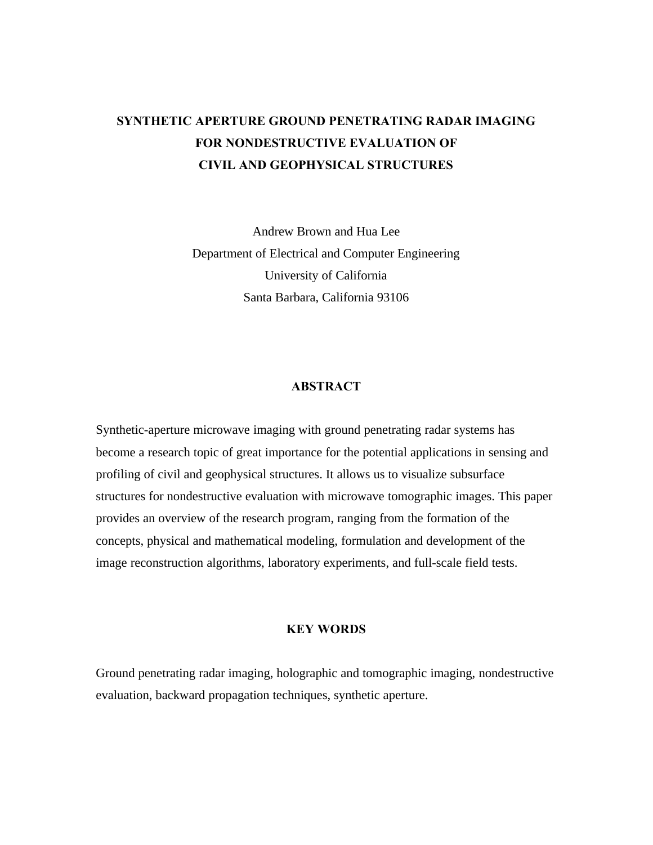# **SYNTHETIC APERTURE GROUND PENETRATING RADAR IMAGING FOR NONDESTRUCTIVE EVALUATION OF CIVIL AND GEOPHYSICAL STRUCTURES**

Andrew Brown and Hua Lee Department of Electrical and Computer Engineering University of California Santa Barbara, California 93106

## **ABSTRACT**

Synthetic-aperture microwave imaging with ground penetrating radar systems has become a research topic of great importance for the potential applications in sensing and profiling of civil and geophysical structures. It allows us to visualize subsurface structures for nondestructive evaluation with microwave tomographic images. This paper provides an overview of the research program, ranging from the formation of the concepts, physical and mathematical modeling, formulation and development of the image reconstruction algorithms, laboratory experiments, and full-scale field tests.

# **KEY WORDS**

Ground penetrating radar imaging, holographic and tomographic imaging, nondestructive evaluation, backward propagation techniques, synthetic aperture.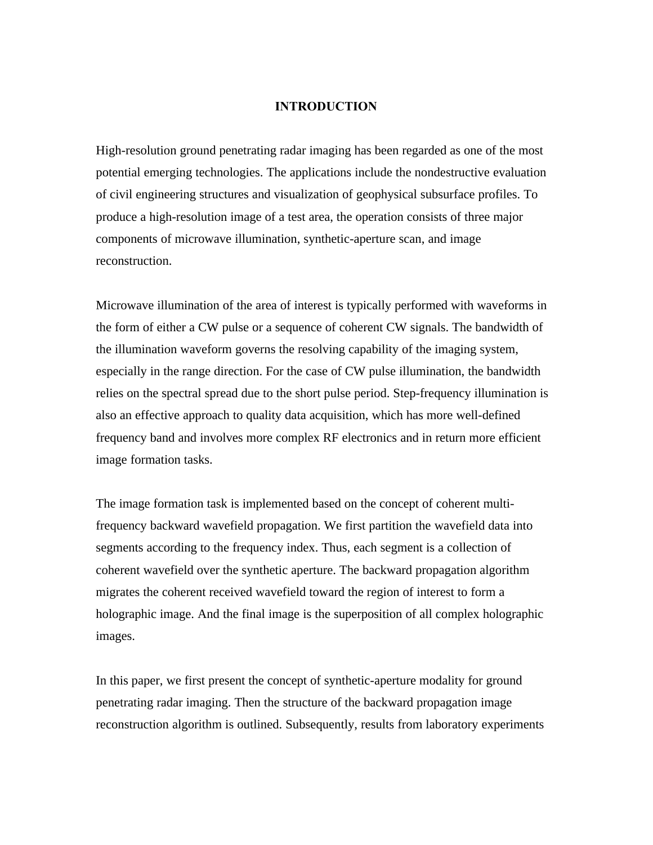## **INTRODUCTION**

High-resolution ground penetrating radar imaging has been regarded as one of the most potential emerging technologies. The applications include the nondestructive evaluation of civil engineering structures and visualization of geophysical subsurface profiles. To produce a high-resolution image of a test area, the operation consists of three major components of microwave illumination, synthetic-aperture scan, and image reconstruction.

Microwave illumination of the area of interest is typically performed with waveforms in the form of either a CW pulse or a sequence of coherent CW signals. The bandwidth of the illumination waveform governs the resolving capability of the imaging system, especially in the range direction. For the case of CW pulse illumination, the bandwidth relies on the spectral spread due to the short pulse period. Step-frequency illumination is also an effective approach to quality data acquisition, which has more well-defined frequency band and involves more complex RF electronics and in return more efficient image formation tasks.

The image formation task is implemented based on the concept of coherent multifrequency backward wavefield propagation. We first partition the wavefield data into segments according to the frequency index. Thus, each segment is a collection of coherent wavefield over the synthetic aperture. The backward propagation algorithm migrates the coherent received wavefield toward the region of interest to form a holographic image. And the final image is the superposition of all complex holographic images.

In this paper, we first present the concept of synthetic-aperture modality for ground penetrating radar imaging. Then the structure of the backward propagation image reconstruction algorithm is outlined. Subsequently, results from laboratory experiments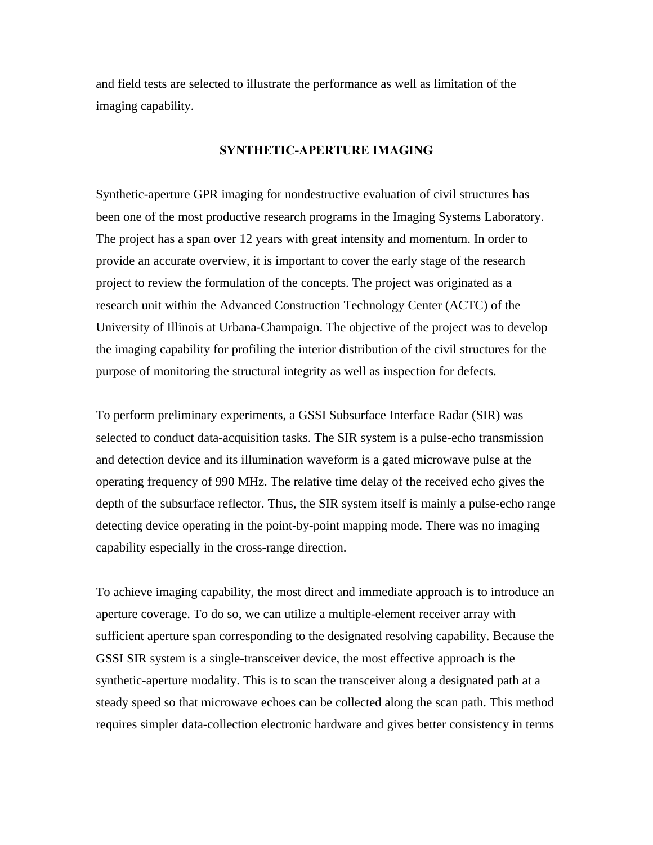and field tests are selected to illustrate the performance as well as limitation of the imaging capability.

## **SYNTHETIC-APERTURE IMAGING**

Synthetic-aperture GPR imaging for nondestructive evaluation of civil structures has been one of the most productive research programs in the Imaging Systems Laboratory. The project has a span over 12 years with great intensity and momentum. In order to provide an accurate overview, it is important to cover the early stage of the research project to review the formulation of the concepts. The project was originated as a research unit within the Advanced Construction Technology Center (ACTC) of the University of Illinois at Urbana-Champaign. The objective of the project was to develop the imaging capability for profiling the interior distribution of the civil structures for the purpose of monitoring the structural integrity as well as inspection for defects.

To perform preliminary experiments, a GSSI Subsurface Interface Radar (SIR) was selected to conduct data-acquisition tasks. The SIR system is a pulse-echo transmission and detection device and its illumination waveform is a gated microwave pulse at the operating frequency of 990 MHz. The relative time delay of the received echo gives the depth of the subsurface reflector. Thus, the SIR system itself is mainly a pulse-echo range detecting device operating in the point-by-point mapping mode. There was no imaging capability especially in the cross-range direction.

To achieve imaging capability, the most direct and immediate approach is to introduce an aperture coverage. To do so, we can utilize a multiple-element receiver array with sufficient aperture span corresponding to the designated resolving capability. Because the GSSI SIR system is a single-transceiver device, the most effective approach is the synthetic-aperture modality. This is to scan the transceiver along a designated path at a steady speed so that microwave echoes can be collected along the scan path. This method requires simpler data-collection electronic hardware and gives better consistency in terms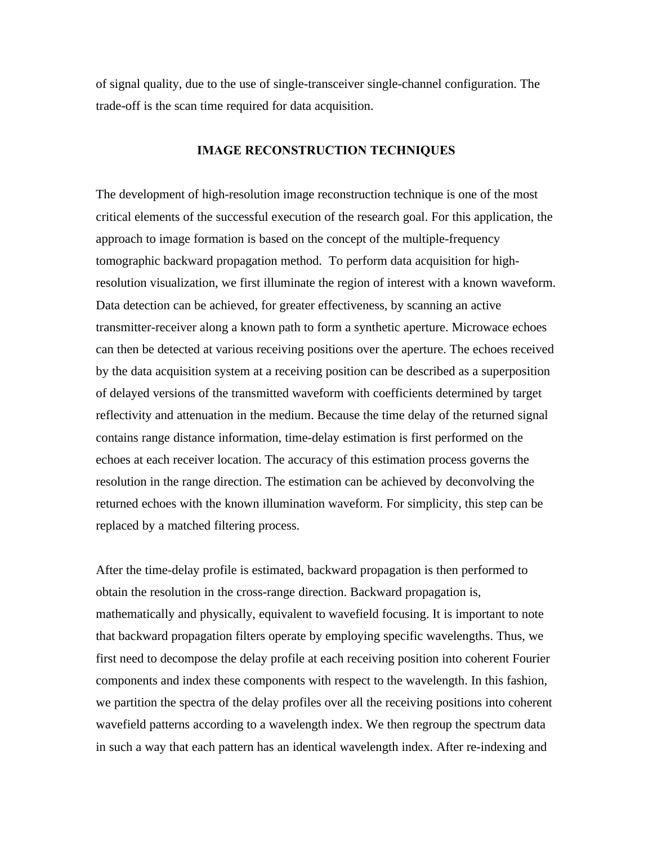of signal quality, due to the use of single-transceiver single-channel configuration. The trade-off is the scan time required for data acquisition.

#### **IMAGE RECONSTRUCTION TECHNIQUES**

The development of high-resolution image reconstruction technique is one of the most critical elements of the successful execution of the research goal. For this application, the approach to image formation is based on the concept of the multiple-frequency tomographic backward propagation method. To perform data acquisition for highresolution visualization, we first illuminate the region of interest with a known waveform. Data detection can be achieved, for greater effectiveness, by scanning an active transmitter-receiver along a known path to form a synthetic aperture. Microwace echoes can then be detected at various receiving positions over the aperture. The echoes received by the data acquisition system at a receiving position can be described as a superposition of delayed versions of the transmitted waveform with coefficients determined by target reflectivity and attenuation in the medium. Because the time delay of the returned signal contains range distance information, time-delay estimation is first performed on the echoes at each receiver location. The accuracy of this estimation process governs the resolution in the range direction. The estimation can be achieved by deconvolving the returned echoes with the known illumination waveform. For simplicity, this step can be replaced by a matched filtering process.

After the time-delay profile is estimated, backward propagation is then performed to obtain the resolution in the cross-range direction. Backward propagation is, mathematically and physically, equivalent to wavefield focusing. It is important to note that backward propagation filters operate by employing specific wavelengths. Thus, we first need to decompose the delay profile at each receiving position into coherent Fourier components and index these components with respect to the wavelength. In this fashion, we partition the spectra of the delay profiles over all the receiving positions into coherent wavefield patterns according to a wavelength index. We then regroup the spectrum data in such a way that each pattern has an identical wavelength index. After re-indexing and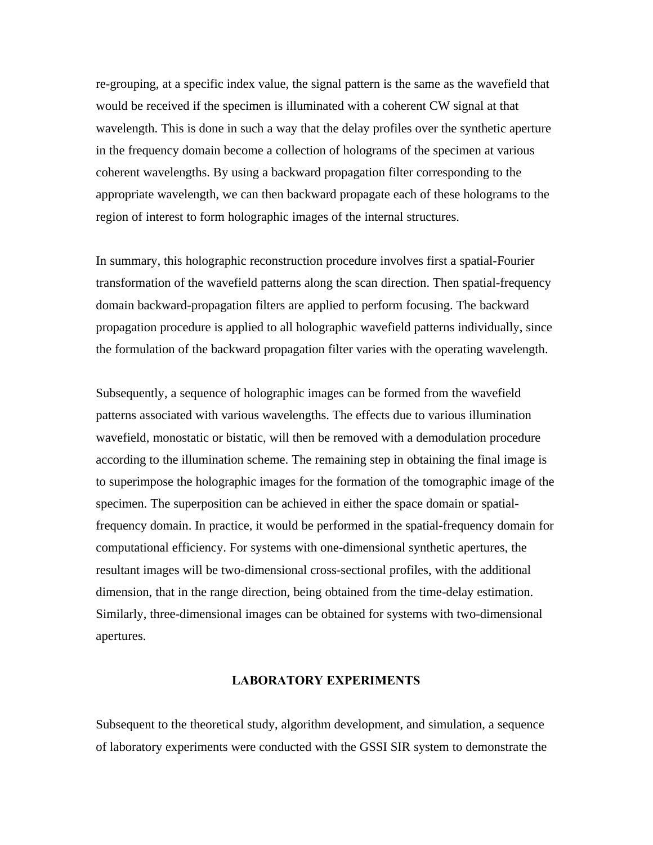re-grouping, at a specific index value, the signal pattern is the same as the wavefield that would be received if the specimen is illuminated with a coherent CW signal at that wavelength. This is done in such a way that the delay profiles over the synthetic aperture in the frequency domain become a collection of holograms of the specimen at various coherent wavelengths. By using a backward propagation filter corresponding to the appropriate wavelength, we can then backward propagate each of these holograms to the region of interest to form holographic images of the internal structures.

In summary, this holographic reconstruction procedure involves first a spatial-Fourier transformation of the wavefield patterns along the scan direction. Then spatial-frequency domain backward-propagation filters are applied to perform focusing. The backward propagation procedure is applied to all holographic wavefield patterns individually, since the formulation of the backward propagation filter varies with the operating wavelength.

Subsequently, a sequence of holographic images can be formed from the wavefield patterns associated with various wavelengths. The effects due to various illumination wavefield, monostatic or bistatic, will then be removed with a demodulation procedure according to the illumination scheme. The remaining step in obtaining the final image is to superimpose the holographic images for the formation of the tomographic image of the specimen. The superposition can be achieved in either the space domain or spatialfrequency domain. In practice, it would be performed in the spatial-frequency domain for computational efficiency. For systems with one-dimensional synthetic apertures, the resultant images will be two-dimensional cross-sectional profiles, with the additional dimension, that in the range direction, being obtained from the time-delay estimation. Similarly, three-dimensional images can be obtained for systems with two-dimensional apertures.

# **LABORATORY EXPERIMENTS**

Subsequent to the theoretical study, algorithm development, and simulation, a sequence of laboratory experiments were conducted with the GSSI SIR system to demonstrate the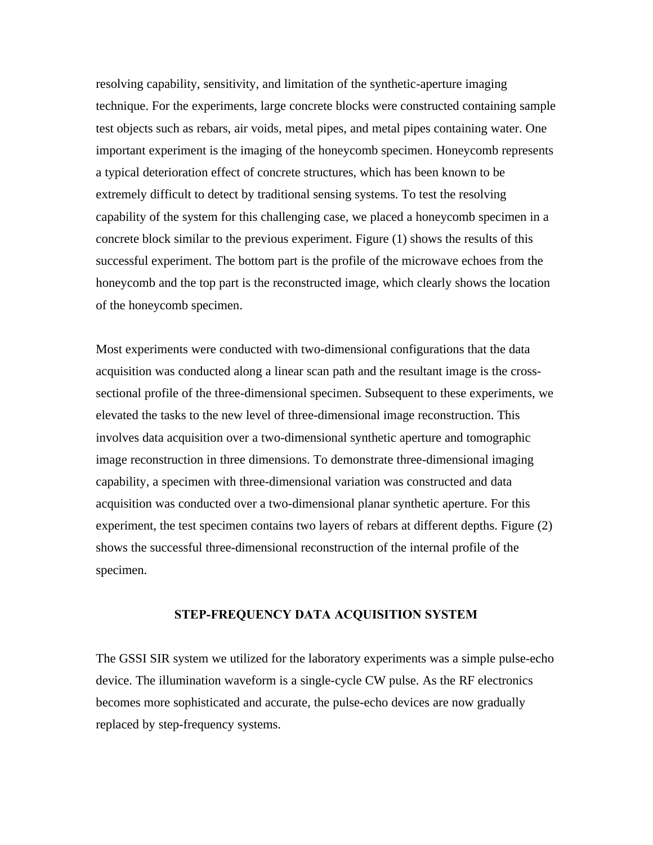resolving capability, sensitivity, and limitation of the synthetic-aperture imaging technique. For the experiments, large concrete blocks were constructed containing sample test objects such as rebars, air voids, metal pipes, and metal pipes containing water. One important experiment is the imaging of the honeycomb specimen. Honeycomb represents a typical deterioration effect of concrete structures, which has been known to be extremely difficult to detect by traditional sensing systems. To test the resolving capability of the system for this challenging case, we placed a honeycomb specimen in a concrete block similar to the previous experiment. Figure (1) shows the results of this successful experiment. The bottom part is the profile of the microwave echoes from the honeycomb and the top part is the reconstructed image, which clearly shows the location of the honeycomb specimen.

Most experiments were conducted with two-dimensional configurations that the data acquisition was conducted along a linear scan path and the resultant image is the crosssectional profile of the three-dimensional specimen. Subsequent to these experiments, we elevated the tasks to the new level of three-dimensional image reconstruction. This involves data acquisition over a two-dimensional synthetic aperture and tomographic image reconstruction in three dimensions. To demonstrate three-dimensional imaging capability, a specimen with three-dimensional variation was constructed and data acquisition was conducted over a two-dimensional planar synthetic aperture. For this experiment, the test specimen contains two layers of rebars at different depths. Figure (2) shows the successful three-dimensional reconstruction of the internal profile of the specimen.

## **STEP-FREQUENCY DATA ACQUISITION SYSTEM**

The GSSI SIR system we utilized for the laboratory experiments was a simple pulse-echo device. The illumination waveform is a single-cycle CW pulse. As the RF electronics becomes more sophisticated and accurate, the pulse-echo devices are now gradually replaced by step-frequency systems.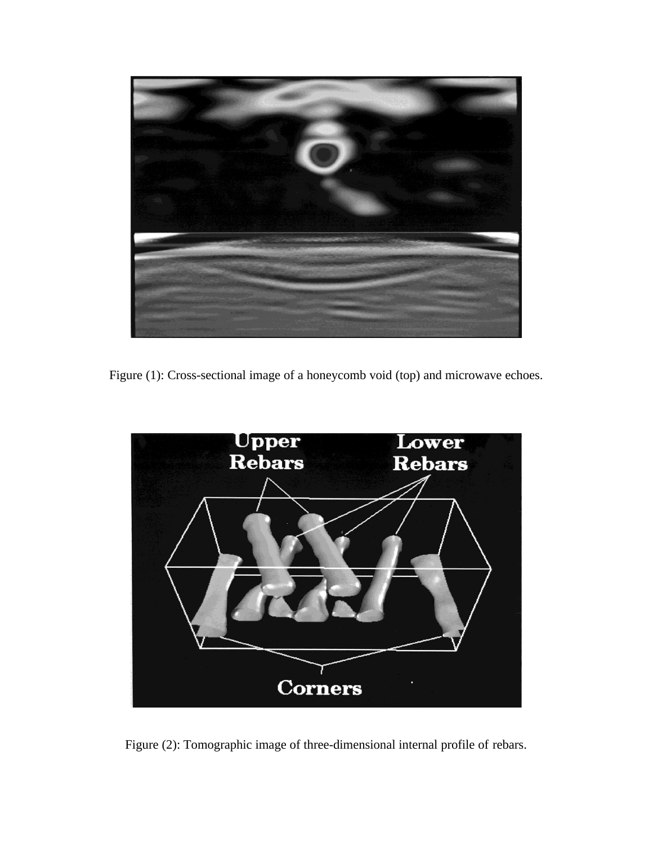

Figure (1): Cross-sectional image of a honeycomb void (top) and microwave echoes.



Figure (2): Tomographic image of three-dimensional internal profile of rebars.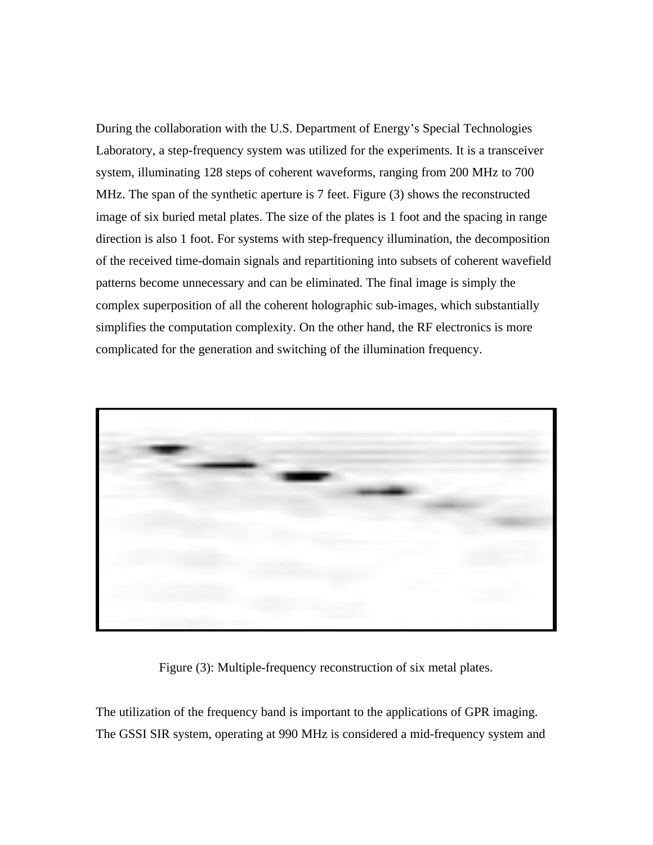During the collaboration with the U.S. Department of Energy's Special Technologies Laboratory, a step-frequency system was utilized for the experiments. It is a transceiver system, illuminating 128 steps of coherent waveforms, ranging from 200 MHz to 700 MHz. The span of the synthetic aperture is 7 feet. Figure (3) shows the reconstructed image of six buried metal plates. The size of the plates is 1 foot and the spacing in range direction is also 1 foot. For systems with step-frequency illumination, the decomposition of the received time-domain signals and repartitioning into subsets of coherent wavefield patterns become unnecessary and can be eliminated. The final image is simply the complex superposition of all the coherent holographic sub-images, which substantially simplifies the computation complexity. On the other hand, the RF electronics is more complicated for the generation and switching of the illumination frequency.



Figure (3): Multiple-frequency reconstruction of six metal plates.

The utilization of the frequency band is important to the applications of GPR imaging. The GSSI SIR system, operating at 990 MHz is considered a mid-frequency system and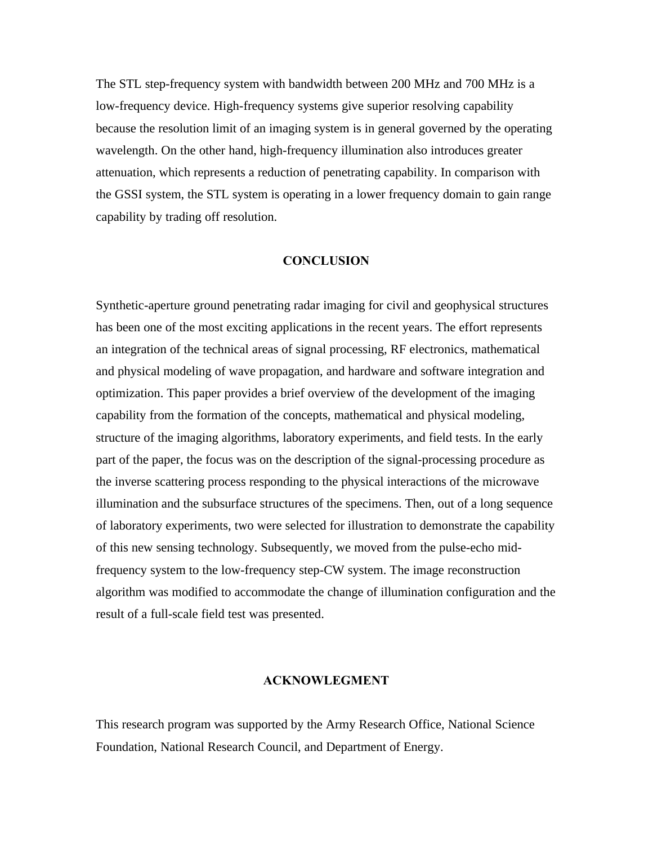The STL step-frequency system with bandwidth between 200 MHz and 700 MHz is a low-frequency device. High-frequency systems give superior resolving capability because the resolution limit of an imaging system is in general governed by the operating wavelength. On the other hand, high-frequency illumination also introduces greater attenuation, which represents a reduction of penetrating capability. In comparison with the GSSI system, the STL system is operating in a lower frequency domain to gain range capability by trading off resolution.

## **CONCLUSION**

Synthetic-aperture ground penetrating radar imaging for civil and geophysical structures has been one of the most exciting applications in the recent years. The effort represents an integration of the technical areas of signal processing, RF electronics, mathematical and physical modeling of wave propagation, and hardware and software integration and optimization. This paper provides a brief overview of the development of the imaging capability from the formation of the concepts, mathematical and physical modeling, structure of the imaging algorithms, laboratory experiments, and field tests. In the early part of the paper, the focus was on the description of the signal-processing procedure as the inverse scattering process responding to the physical interactions of the microwave illumination and the subsurface structures of the specimens. Then, out of a long sequence of laboratory experiments, two were selected for illustration to demonstrate the capability of this new sensing technology. Subsequently, we moved from the pulse-echo midfrequency system to the low-frequency step-CW system. The image reconstruction algorithm was modified to accommodate the change of illumination configuration and the result of a full-scale field test was presented.

## **ACKNOWLEGMENT**

This research program was supported by the Army Research Office, National Science Foundation, National Research Council, and Department of Energy.